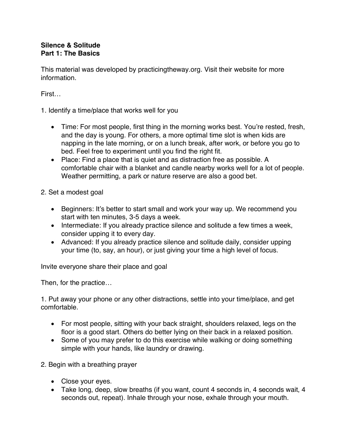## **Silence & Solitude Part 1: The Basics**

This material was developed by practicingtheway.org. Visit their website for more information.

First…

- 1. Identify a time/place that works well for you
	- Time: For most people, first thing in the morning works best. You're rested, fresh, and the day is young. For others, a more optimal time slot is when kids are napping in the late morning, or on a lunch break, after work, or before you go to bed. Feel free to experiment until you find the right fit.
	- Place: Find a place that is quiet and as distraction free as possible. A comfortable chair with a blanket and candle nearby works well for a lot of people. Weather permitting, a park or nature reserve are also a good bet.
- 2. Set a modest goal
	- Beginners: It's better to start small and work your way up. We recommend you start with ten minutes, 3-5 days a week.
	- Intermediate: If you already practice silence and solitude a few times a week, consider upping it to every day.
	- Advanced: If you already practice silence and solitude daily, consider upping your time (to, say, an hour), or just giving your time a high level of focus.

Invite everyone share their place and goal

Then, for the practice…

1. Put away your phone or any other distractions, settle into your time/place, and get comfortable.

- For most people, sitting with your back straight, shoulders relaxed, legs on the floor is a good start. Others do better lying on their back in a relaxed position.
- Some of you may prefer to do this exercise while walking or doing something simple with your hands, like laundry or drawing.
- 2. Begin with a breathing prayer
	- Close your eyes.
	- Take long, deep, slow breaths (if you want, count 4 seconds in, 4 seconds wait, 4 seconds out, repeat). Inhale through your nose, exhale through your mouth.